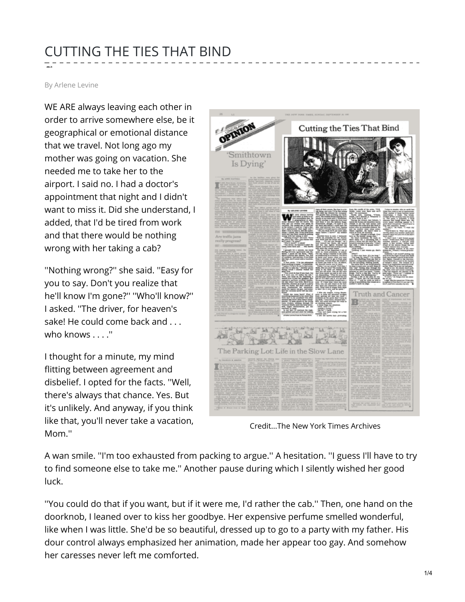## CUTTING THE TIES THAT BIND

By Arlene Levine

WE ARE always leaving each other in order to arrive somewhere else, be it geographical or emotional distance that we travel. Not long ago my mother was going on vacation. She needed me to take her to the airport. I said no. I had a doctor's appointment that night and I didn't want to miss it. Did she understand, I added, that I'd be tired from work and that there would be nothing wrong with her taking a cab?

''Nothing wrong?'' she said. ''Easy for you to say. Don't you realize that he'll know I'm gone?'' ''Who'll know?'' I asked. ''The driver, for heaven's sake! He could come back and . . . who knows . . . .''

I thought for a minute, my mind flitting between agreement and disbelief. I opted for the facts. ''Well, there's always that chance. Yes. But it's unlikely. And anyway, if you think like that, you'll never take a vacation, Mom.''



Credit...The New York Times Archives

A wan smile. ''I'm too exhausted from packing to argue.'' A hesitation. ''I guess I'll have to try to find someone else to take me.'' Another pause during which I silently wished her good luck.

''You could do that if you want, but if it were me, I'd rather the cab.'' Then, one hand on the doorknob, I leaned over to kiss her goodbye. Her expensive perfume smelled wonderful, like when I was little. She'd be so beautiful, dressed up to go to a party with my father. His dour control always emphasized her animation, made her appear too gay. And somehow her caresses never left me comforted.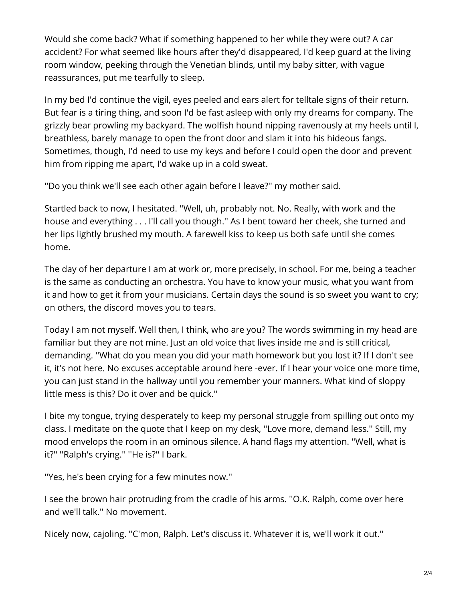Would she come back? What if something happened to her while they were out? A car accident? For what seemed like hours after they'd disappeared, I'd keep guard at the living room window, peeking through the Venetian blinds, until my baby sitter, with vague reassurances, put me tearfully to sleep.

In my bed I'd continue the vigil, eyes peeled and ears alert for telltale signs of their return. But fear is a tiring thing, and soon I'd be fast asleep with only my dreams for company. The grizzly bear prowling my backyard. The wolfish hound nipping ravenously at my heels until I, breathless, barely manage to open the front door and slam it into his hideous fangs. Sometimes, though, I'd need to use my keys and before I could open the door and prevent him from ripping me apart, I'd wake up in a cold sweat.

''Do you think we'll see each other again before I leave?'' my mother said.

Startled back to now, I hesitated. ''Well, uh, probably not. No. Really, with work and the house and everything . . . I'll call you though.'' As I bent toward her cheek, she turned and her lips lightly brushed my mouth. A farewell kiss to keep us both safe until she comes home.

The day of her departure I am at work or, more precisely, in school. For me, being a teacher is the same as conducting an orchestra. You have to know your music, what you want from it and how to get it from your musicians. Certain days the sound is so sweet you want to cry; on others, the discord moves you to tears.

Today I am not myself. Well then, I think, who are you? The words swimming in my head are familiar but they are not mine. Just an old voice that lives inside me and is still critical, demanding. ''What do you mean you did your math homework but you lost it? If I don't see it, it's not here. No excuses acceptable around here -ever. If I hear your voice one more time, you can just stand in the hallway until you remember your manners. What kind of sloppy little mess is this? Do it over and be quick.''

I bite my tongue, trying desperately to keep my personal struggle from spilling out onto my class. I meditate on the quote that I keep on my desk, ''Love more, demand less.'' Still, my mood envelops the room in an ominous silence. A hand flags my attention. ''Well, what is it?'' ''Ralph's crying.'' ''He is?'' I bark.

''Yes, he's been crying for a few minutes now.''

I see the brown hair protruding from the cradle of his arms. ''O.K. Ralph, come over here and we'll talk.'' No movement.

Nicely now, cajoling. ''C'mon, Ralph. Let's discuss it. Whatever it is, we'll work it out.''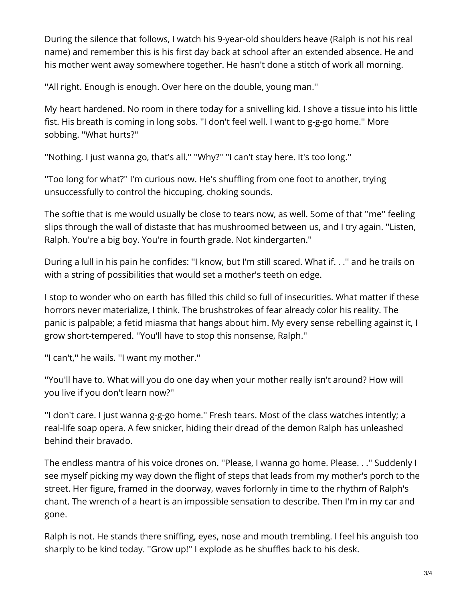During the silence that follows, I watch his 9-year-old shoulders heave (Ralph is not his real name) and remember this is his first day back at school after an extended absence. He and his mother went away somewhere together. He hasn't done a stitch of work all morning.

''All right. Enough is enough. Over here on the double, young man.''

My heart hardened. No room in there today for a snivelling kid. I shove a tissue into his little fist. His breath is coming in long sobs. ''I don't feel well. I want to g-g-go home.'' More sobbing. ''What hurts?''

''Nothing. I just wanna go, that's all.'' ''Why?'' ''I can't stay here. It's too long.''

''Too long for what?'' I'm curious now. He's shuffling from one foot to another, trying unsuccessfully to control the hiccuping, choking sounds.

The softie that is me would usually be close to tears now, as well. Some of that ''me'' feeling slips through the wall of distaste that has mushroomed between us, and I try again. ''Listen, Ralph. You're a big boy. You're in fourth grade. Not kindergarten.''

During a lull in his pain he confides: ''I know, but I'm still scared. What if. . .'' and he trails on with a string of possibilities that would set a mother's teeth on edge.

I stop to wonder who on earth has filled this child so full of insecurities. What matter if these horrors never materialize, I think. The brushstrokes of fear already color his reality. The panic is palpable; a fetid miasma that hangs about him. My every sense rebelling against it, I grow short-tempered. ''You'll have to stop this nonsense, Ralph.''

''I can't,'' he wails. ''I want my mother.''

''You'll have to. What will you do one day when your mother really isn't around? How will you live if you don't learn now?''

''I don't care. I just wanna g-g-go home.'' Fresh tears. Most of the class watches intently; a real-life soap opera. A few snicker, hiding their dread of the demon Ralph has unleashed behind their bravado.

The endless mantra of his voice drones on. ''Please, I wanna go home. Please. . .'' Suddenly I see myself picking my way down the flight of steps that leads from my mother's porch to the street. Her figure, framed in the doorway, waves forlornly in time to the rhythm of Ralph's chant. The wrench of a heart is an impossible sensation to describe. Then I'm in my car and gone.

Ralph is not. He stands there sniffing, eyes, nose and mouth trembling. I feel his anguish too sharply to be kind today. ''Grow up!'' I explode as he shuffles back to his desk.